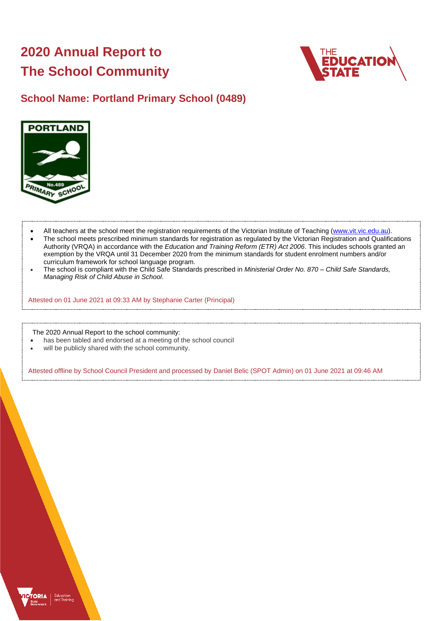# **2020 Annual Report to The School Community**



# **School Name: Portland Primary School (0489)**



- All teachers at the school meet the registration requirements of the Victorian Institute of Teaching [\(www.vit.vic.edu.au\)](https://www.vit.vic.edu.au/).
- The school meets prescribed minimum standards for registration as regulated by the Victorian Registration and Qualifications Authority (VRQA) in accordance with the *Education and Training Reform (ETR) Act 2006*. This includes schools granted an exemption by the VRQA until 31 December 2020 from the minimum standards for student enrolment numbers and/or curriculum framework for school language program.
- The school is compliant with the Child Safe Standards prescribed in *Ministerial Order No. 870 – Child Safe Standards, Managing Risk of Child Abuse in School*.

Attested on 01 June 2021 at 09:33 AM by Stephanie Carter (Principal)

The 2020 Annual Report to the school community:

- has been tabled and endorsed at a meeting of the school council
- will be publicly shared with the school community.

Attested offline by School Council President and processed by Daniel Belic (SPOT Admin) on 01 June 2021 at 09:46 AM

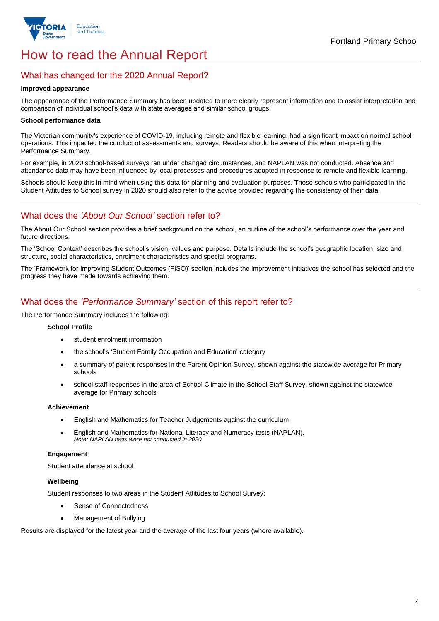

# How to read the Annual Report

### What has changed for the 2020 Annual Report?

#### **Improved appearance**

The appearance of the Performance Summary has been updated to more clearly represent information and to assist interpretation and comparison of individual school's data with state averages and similar school groups.

#### **School performance data**

The Victorian community's experience of COVID-19, including remote and flexible learning, had a significant impact on normal school operations. This impacted the conduct of assessments and surveys. Readers should be aware of this when interpreting the Performance Summary.

For example, in 2020 school-based surveys ran under changed circumstances, and NAPLAN was not conducted. Absence and attendance data may have been influenced by local processes and procedures adopted in response to remote and flexible learning.

Schools should keep this in mind when using this data for planning and evaluation purposes. Those schools who participated in the Student Attitudes to School survey in 2020 should also refer to the advice provided regarding the consistency of their data.

## What does the *'About Our School'* section refer to?

The About Our School section provides a brief background on the school, an outline of the school's performance over the year and future directions.

The 'School Context' describes the school's vision, values and purpose. Details include the school's geographic location, size and structure, social characteristics, enrolment characteristics and special programs.

The 'Framework for Improving Student Outcomes (FISO)' section includes the improvement initiatives the school has selected and the progress they have made towards achieving them.

## What does the *'Performance Summary'* section of this report refer to?

The Performance Summary includes the following:

#### **School Profile**

- student enrolment information
- the school's 'Student Family Occupation and Education' category
- a summary of parent responses in the Parent Opinion Survey, shown against the statewide average for Primary schools
- school staff responses in the area of School Climate in the School Staff Survey, shown against the statewide average for Primary schools

#### **Achievement**

- English and Mathematics for Teacher Judgements against the curriculum
- English and Mathematics for National Literacy and Numeracy tests (NAPLAN). *Note: NAPLAN tests were not conducted in 2020*

#### **Engagement**

Student attendance at school

#### **Wellbeing**

Student responses to two areas in the Student Attitudes to School Survey:

- Sense of Connectedness
- Management of Bullying

Results are displayed for the latest year and the average of the last four years (where available).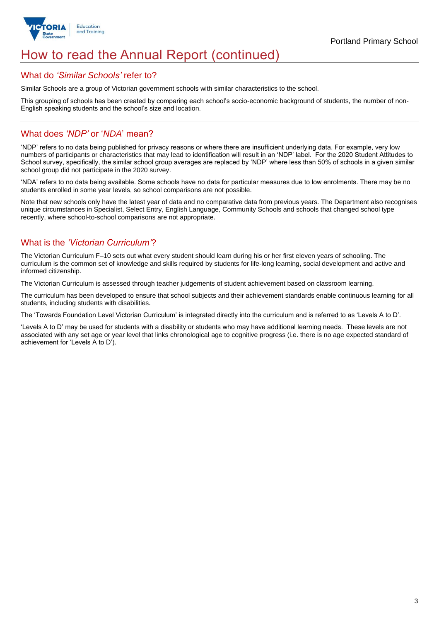

# How to read the Annual Report (continued)

#### What do *'Similar Schools'* refer to?

Similar Schools are a group of Victorian government schools with similar characteristics to the school.

This grouping of schools has been created by comparing each school's socio-economic background of students, the number of non-English speaking students and the school's size and location.

### What does *'NDP'* or '*NDA*' mean?

'NDP' refers to no data being published for privacy reasons or where there are insufficient underlying data. For example, very low numbers of participants or characteristics that may lead to identification will result in an 'NDP' label. For the 2020 Student Attitudes to School survey, specifically, the similar school group averages are replaced by 'NDP' where less than 50% of schools in a given similar school group did not participate in the 2020 survey.

'NDA' refers to no data being available. Some schools have no data for particular measures due to low enrolments. There may be no students enrolled in some year levels, so school comparisons are not possible.

Note that new schools only have the latest year of data and no comparative data from previous years. The Department also recognises unique circumstances in Specialist, Select Entry, English Language, Community Schools and schools that changed school type recently, where school-to-school comparisons are not appropriate.

# What is the *'Victorian Curriculum'*?

The Victorian Curriculum F–10 sets out what every student should learn during his or her first eleven years of schooling. The curriculum is the common set of knowledge and skills required by students for life-long learning, social development and active and informed citizenship.

The Victorian Curriculum is assessed through teacher judgements of student achievement based on classroom learning.

The curriculum has been developed to ensure that school subjects and their achievement standards enable continuous learning for all students, including students with disabilities.

The 'Towards Foundation Level Victorian Curriculum' is integrated directly into the curriculum and is referred to as 'Levels A to D'.

'Levels A to D' may be used for students with a disability or students who may have additional learning needs. These levels are not associated with any set age or year level that links chronological age to cognitive progress (i.e. there is no age expected standard of achievement for 'Levels A to D').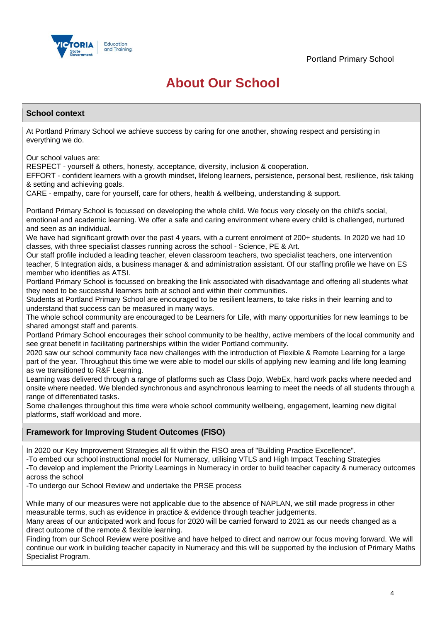

# **About Our School**

#### **School context**

At Portland Primary School we achieve success by caring for one another, showing respect and persisting in everything we do.

Our school values are:

RESPECT - yourself & others, honesty, acceptance, diversity, inclusion & cooperation.

EFFORT - confident learners with a growth mindset, lifelong learners, persistence, personal best, resilience, risk taking & setting and achieving goals.

CARE - empathy, care for yourself, care for others, health & wellbeing, understanding & support.

Portland Primary School is focussed on developing the whole child. We focus very closely on the child's social, emotional and academic learning. We offer a safe and caring environment where every child is challenged, nurtured and seen as an individual.

We have had significant growth over the past 4 years, with a current enrolment of 200+ students. In 2020 we had 10 classes, with three specialist classes running across the school - Science, PE & Art.

Our staff profile included a leading teacher, eleven classroom teachers, two specialist teachers, one intervention teacher, 5 Integration aids, a business manager & and administration assistant. Of our staffing profile we have on ES member who identifies as ATSI.

Portland Primary School is focussed on breaking the link associated with disadvantage and offering all students what they need to be successful learners both at school and within their communities.

Students at Portland Primary School are encouraged to be resilient learners, to take risks in their learning and to understand that success can be measured in many ways.

The whole school community are encouraged to be Learners for Life, with many opportunities for new learnings to be shared amongst staff and parents.

Portland Primary School encourages their school community to be healthy, active members of the local community and see great benefit in facilitating partnerships within the wider Portland community.

2020 saw our school community face new challenges with the introduction of Flexible & Remote Learning for a large part of the year. Throughout this time we were able to model our skills of applying new learning and life long learning as we transitioned to R&F Learning.

Learning was delivered through a range of platforms such as Class Dojo, WebEx, hard work packs where needed and onsite where needed. We blended synchronous and asynchronous learning to meet the needs of all students through a range of differentiated tasks.

Some challenges throughout this time were whole school community wellbeing, engagement, learning new digital platforms, staff workload and more.

#### **Framework for Improving Student Outcomes (FISO)**

In 2020 our Key Improvement Strategies all fit within the FISO area of "Building Practice Excellence".

-To embed our school instructional model for Numeracy, utilising VTLS and High Impact Teaching Strategies

-To develop and implement the Priority Learnings in Numeracy in order to build teacher capacity & numeracy outcomes across the school

-To undergo our School Review and undertake the PRSE process

While many of our measures were not applicable due to the absence of NAPLAN, we still made progress in other measurable terms, such as evidence in practice & evidence through teacher judgements.

Many areas of our anticipated work and focus for 2020 will be carried forward to 2021 as our needs changed as a direct outcome of the remote & flexible learning.

Finding from our School Review were positive and have helped to direct and narrow our focus moving forward. We will continue our work in building teacher capacity in Numeracy and this will be supported by the inclusion of Primary Maths Specialist Program.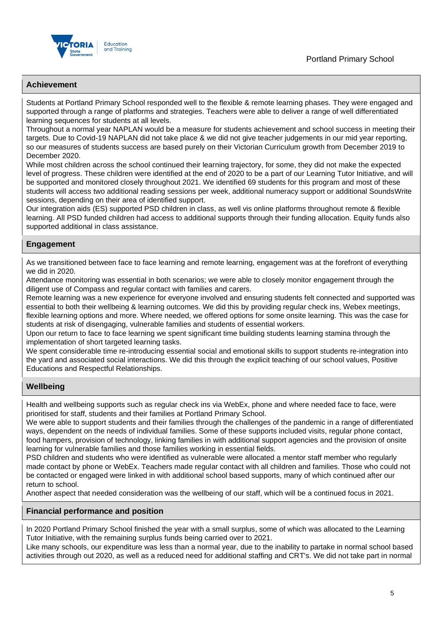

#### **Achievement**

Students at Portland Primary School responded well to the flexible & remote learning phases. They were engaged and supported through a range of platforms and strategies. Teachers were able to deliver a range of well differentiated learning sequences for students at all levels.

Throughout a normal year NAPLAN would be a measure for students achievement and school success in meeting their targets. Due to Covid-19 NAPLAN did not take place & we did not give teacher judgements in our mid year reporting, so our measures of students success are based purely on their Victorian Curriculum growth from December 2019 to December 2020.

While most children across the school continued their learning trajectory, for some, they did not make the expected level of progress. These children were identified at the end of 2020 to be a part of our Learning Tutor Initiative, and will be supported and monitored closely throughout 2021. We identified 69 students for this program and most of these students will access two additional reading sessions per week, additional numeracy support or additional SoundsWrite sessions, depending on their area of identified support.

Our integration aids (ES) supported PSD children in class, as well vis online platforms throughout remote & flexible learning. All PSD funded children had access to additional supports through their funding allocation. Equity funds also supported additional in class assistance.

#### **Engagement**

As we transitioned between face to face learning and remote learning, engagement was at the forefront of everything we did in 2020.

Attendance monitoring was essential in both scenarios; we were able to closely monitor engagement through the diligent use of Compass and regular contact with families and carers.

Remote learning was a new experience for everyone involved and ensuring students felt connected and supported was essential to both their wellbeing & learning outcomes. We did this by providing regular check ins, Webex meetings, flexible learning options and more. Where needed, we offered options for some onsite learning. This was the case for students at risk of disengaging, vulnerable families and students of essential workers.

Upon our return to face to face learning we spent significant time building students learning stamina through the implementation of short targeted learning tasks.

We spent considerable time re-introducing essential social and emotional skills to support students re-integration into the yard and associated social interactions. We did this through the explicit teaching of our school values, Positive Educations and Respectful Relationships.

#### **Wellbeing**

Health and wellbeing supports such as regular check ins via WebEx, phone and where needed face to face, were prioritised for staff, students and their families at Portland Primary School.

We were able to support students and their families through the challenges of the pandemic in a range of differentiated ways, dependent on the needs of individual families. Some of these supports included visits, regular phone contact, food hampers, provision of technology, linking families in with additional support agencies and the provision of onsite learning for vulnerable families and those families working in essential fields.

PSD children and students who were identified as vulnerable were allocated a mentor staff member who regularly made contact by phone or WebEx. Teachers made regular contact with all children and families. Those who could not be contacted or engaged were linked in with additional school based supports, many of which continued after our return to school.

Another aspect that needed consideration was the wellbeing of our staff, which will be a continued focus in 2021.

#### **Financial performance and position**

In 2020 Portland Primary School finished the year with a small surplus, some of which was allocated to the Learning Tutor Initiative, with the remaining surplus funds being carried over to 2021.

Like many schools, our expenditure was less than a normal year, due to the inability to partake in normal school based activities through out 2020, as well as a reduced need for additional staffing and CRT's. We did not take part in normal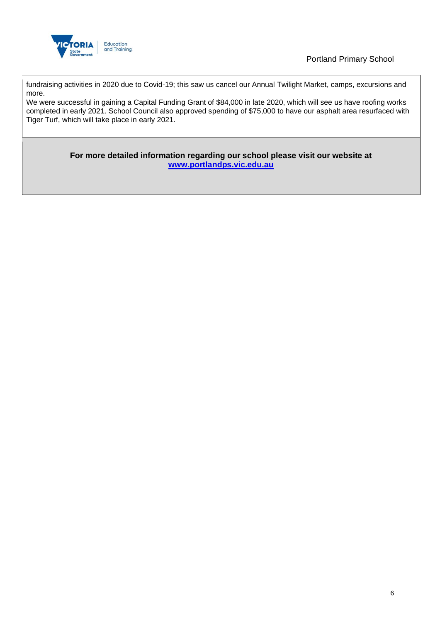

Portland Primary School

fundraising activities in 2020 due to Covid-19; this saw us cancel our Annual Twilight Market, camps, excursions and more.

We were successful in gaining a Capital Funding Grant of \$84,000 in late 2020, which will see us have roofing works completed in early 2021. School Council also approved spending of \$75,000 to have our asphalt area resurfaced with Tiger Turf, which will take place in early 2021.

> **For more detailed information regarding our school please visit our website at [www.portlandps.vic.edu.au](/Users/stephcarter/Downloads/www.portlandps.vic.edu.au)**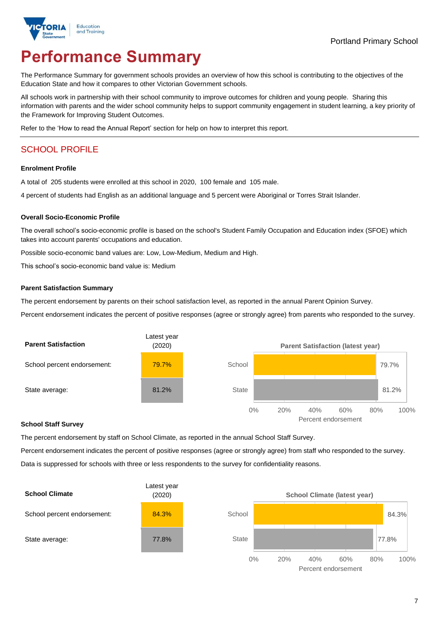

# **Performance Summary**

The Performance Summary for government schools provides an overview of how this school is contributing to the objectives of the Education State and how it compares to other Victorian Government schools.

All schools work in partnership with their school community to improve outcomes for children and young people. Sharing this information with parents and the wider school community helps to support community engagement in student learning, a key priority of the Framework for Improving Student Outcomes.

Refer to the 'How to read the Annual Report' section for help on how to interpret this report.

# SCHOOL PROFILE

#### **Enrolment Profile**

A total of 205 students were enrolled at this school in 2020, 100 female and 105 male.

4 percent of students had English as an additional language and 5 percent were Aboriginal or Torres Strait Islander.

#### **Overall Socio-Economic Profile**

The overall school's socio-economic profile is based on the school's Student Family Occupation and Education index (SFOE) which takes into account parents' occupations and education.

Possible socio-economic band values are: Low, Low-Medium, Medium and High.

This school's socio-economic band value is: Medium

#### **Parent Satisfaction Summary**

The percent endorsement by parents on their school satisfaction level, as reported in the annual Parent Opinion Survey.

Percent endorsement indicates the percent of positive responses (agree or strongly agree) from parents who responded to the survey.



#### **School Staff Survey**

The percent endorsement by staff on School Climate, as reported in the annual School Staff Survey.

Percent endorsement indicates the percent of positive responses (agree or strongly agree) from staff who responded to the survey. Data is suppressed for schools with three or less respondents to the survey for confidentiality reasons.



Percent endorsement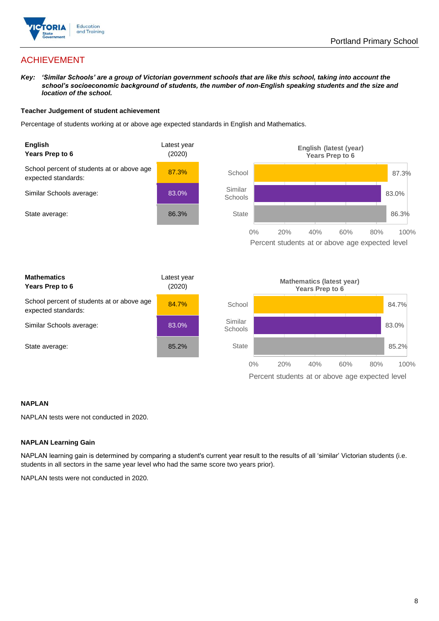

# ACHIEVEMENT

*Key: 'Similar Schools' are a group of Victorian government schools that are like this school, taking into account the school's socioeconomic background of students, the number of non-English speaking students and the size and location of the school.*

#### **Teacher Judgement of student achievement**

Percentage of students working at or above age expected standards in English and Mathematics.



#### **NAPLAN**

NAPLAN tests were not conducted in 2020.

#### **NAPLAN Learning Gain**

NAPLAN learning gain is determined by comparing a student's current year result to the results of all 'similar' Victorian students (i.e. students in all sectors in the same year level who had the same score two years prior).

NAPLAN tests were not conducted in 2020.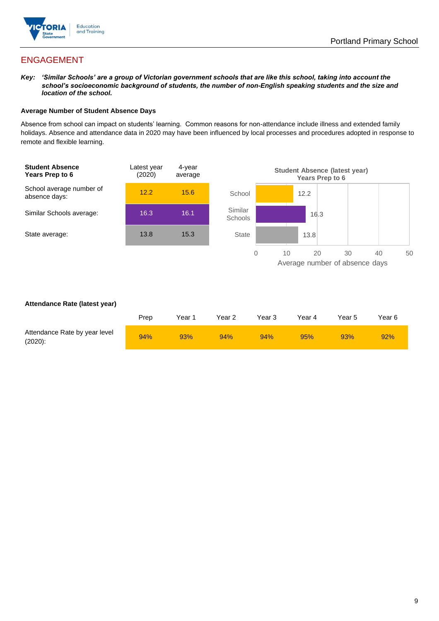

# ENGAGEMENT

*Key: 'Similar Schools' are a group of Victorian government schools that are like this school, taking into account the school's socioeconomic background of students, the number of non-English speaking students and the size and location of the school.*

#### **Average Number of Student Absence Days**

Absence from school can impact on students' learning. Common reasons for non-attendance include illness and extended family holidays. Absence and attendance data in 2020 may have been influenced by local processes and procedures adopted in response to remote and flexible learning.



#### **Attendance Rate (latest year)**

|                                             | Prep | Year 1 | Year 2 | Year 3 | Year 4 | Year 5 | Year 6 |
|---------------------------------------------|------|--------|--------|--------|--------|--------|--------|
| Attendance Rate by year level<br>$(2020)$ : | 94%  | 93%    | 94%    | 94%    | 95%    | 93%    | 92%    |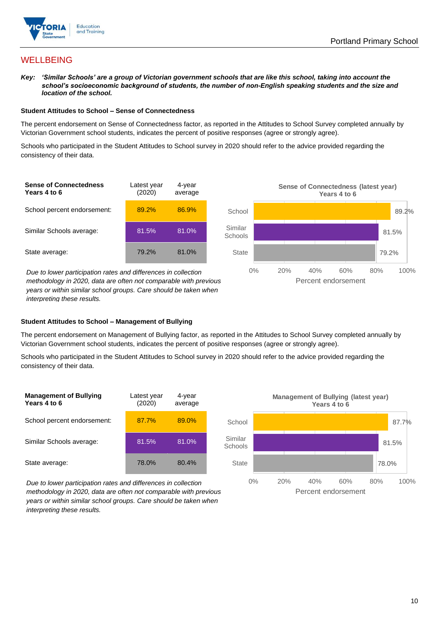

## **WELLBEING**

*Key: 'Similar Schools' are a group of Victorian government schools that are like this school, taking into account the school's socioeconomic background of students, the number of non-English speaking students and the size and location of the school.*

#### **Student Attitudes to School – Sense of Connectedness**

The percent endorsement on Sense of Connectedness factor, as reported in the Attitudes to School Survey completed annually by Victorian Government school students, indicates the percent of positive responses (agree or strongly agree).

Schools who participated in the Student Attitudes to School survey in 2020 should refer to the advice provided regarding the consistency of their data.



*methodology in 2020, data are often not comparable with previous years or within similar school groups. Care should be taken when interpreting these results.*

#### **Student Attitudes to School – Management of Bullying**

The percent endorsement on Management of Bullying factor, as reported in the Attitudes to School Survey completed annually by Victorian Government school students, indicates the percent of positive responses (agree or strongly agree).

Schools who participated in the Student Attitudes to School survey in 2020 should refer to the advice provided regarding the consistency of their data.



*Due to lower participation rates and differences in collection methodology in 2020, data are often not comparable with previous years or within similar school groups. Care should be taken when interpreting these results.*

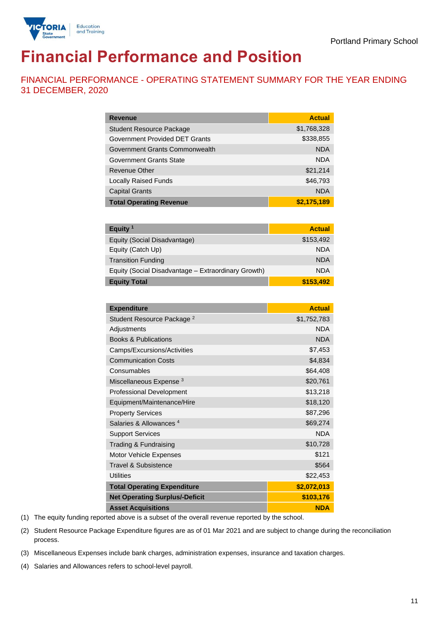

# **Financial Performance and Position**

FINANCIAL PERFORMANCE - OPERATING STATEMENT SUMMARY FOR THE YEAR ENDING 31 DECEMBER, 2020

| <b>Revenue</b>                  | <b>Actual</b> |
|---------------------------------|---------------|
| <b>Student Resource Package</b> | \$1,768,328   |
| Government Provided DET Grants  | \$338,855     |
| Government Grants Commonwealth  | <b>NDA</b>    |
| Government Grants State         | <b>NDA</b>    |
| <b>Revenue Other</b>            | \$21,214      |
| <b>Locally Raised Funds</b>     | \$46,793      |
| <b>Capital Grants</b>           | <b>NDA</b>    |
| <b>Total Operating Revenue</b>  | \$2,175,189   |

| Equity <sup>1</sup>                                 | <b>Actual</b> |
|-----------------------------------------------------|---------------|
| Equity (Social Disadvantage)                        | \$153,492     |
| Equity (Catch Up)                                   | <b>NDA</b>    |
| <b>Transition Funding</b>                           | <b>NDA</b>    |
| Equity (Social Disadvantage - Extraordinary Growth) | <b>NDA</b>    |
| <b>Equity Total</b>                                 | \$153,492     |

| <b>Expenditure</b>                    | <b>Actual</b> |
|---------------------------------------|---------------|
| Student Resource Package <sup>2</sup> | \$1,752,783   |
| Adjustments                           | <b>NDA</b>    |
| <b>Books &amp; Publications</b>       | <b>NDA</b>    |
| Camps/Excursions/Activities           | \$7,453       |
| <b>Communication Costs</b>            | \$4,834       |
| Consumables                           | \$64,408      |
| Miscellaneous Expense <sup>3</sup>    | \$20,761      |
| <b>Professional Development</b>       | \$13,218      |
| Equipment/Maintenance/Hire            | \$18,120      |
| <b>Property Services</b>              | \$87,296      |
| Salaries & Allowances <sup>4</sup>    | \$69,274      |
| <b>Support Services</b>               | <b>NDA</b>    |
| Trading & Fundraising                 | \$10,728      |
| Motor Vehicle Expenses                | \$121         |
| <b>Travel &amp; Subsistence</b>       | \$564         |
| <b>Utilities</b>                      | \$22,453      |
| <b>Total Operating Expenditure</b>    | \$2,072,013   |
| <b>Net Operating Surplus/-Deficit</b> | \$103,176     |
| <b>Asset Acquisitions</b>             | <b>NDA</b>    |

(1) The equity funding reported above is a subset of the overall revenue reported by the school.

(2) Student Resource Package Expenditure figures are as of 01 Mar 2021 and are subject to change during the reconciliation process.

(3) Miscellaneous Expenses include bank charges, administration expenses, insurance and taxation charges.

(4) Salaries and Allowances refers to school-level payroll.